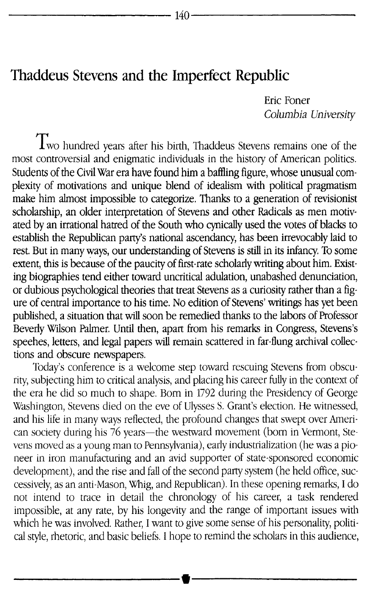## Thaddeus Stevens and the Imperfect Republic

Eric Foner *Columbia University*

Two hundred years after his birth, Thaddeus Stevens remains one of the most controversial and enigmatic individuals in the history of American politics. Students of the Civil War era have found him a baffling figure, whose unusual complexity of motivations and unique blend of idealism with political pragmatism make him almost impossible to categorize. Thanks to a generation of revisionist scholarship, an older interpretation of Stevens and other Radicals as men motivated by an irrational hatred of the South who cynically used the votes of blacks to establish the Republican partys national ascendancy, has been irrevocably laid to rest. But in many ways, our understanding of Stevens is still in its infancy, To some extent, this is because of the paucity of first-rate scholarly writing about him. Existing biographies tend either toward uncritical adulation, unabashed denunciation, or dubious psychological theories that treat Stevens as a curiosity rather than a figure of central importance to his time. No edition of Stevens' writings has yet been published, a situation that will soon be remedied thanks to the labors of Professor Beverly Wilson Palmer. Until then, apart from his remarks in Congress, Stevens's speehes, letters, and legal papers will remain scattered in far-flung archival collections and obscure newspapers.

Today's conference is a welcome step toward rescuing Stevens from obscurity, subjecting him to critical analysis, and placing his career fully in the context of the era he did so much to shape. Born in 1792 during the Presidency of George Washington, Stevens died on the eve of Ulysses S. Grant's election. He witnessed, and his life in many ways reflected, the profound changes that swept over American society during his 76 years—the westward movement (born in Vermont, Stevens moved as a young man to Pennsylvania), early industrialization (he was a pioneer in iron manufacturing and an avid supporter of state-sponsored economic development), and the rise and fall of the second party system (he held office, successively, as an anti-Mason, Whig, and Republican). In these opening remarks, I do not intend to trace in detail the chronology of his career, a task rendered impossible, at any rate, by his longevity and the range of important issues with mpeccions, at any time,  $z_j$  and  $z_i$  and  $z_j$  is the some sense of his personality, political style, rhetoric, and basic beliefs. I hope to remind the scholars in this audience,

It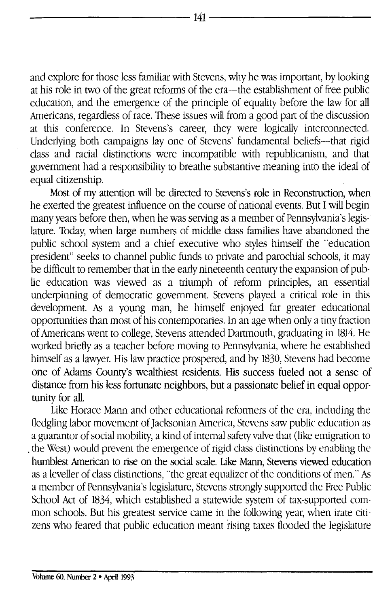and explore for those less familiar with Stevens, why he was important, by looking at his role in two of the great reforms of the era-the establishment of free public education, and the emergence of the principle of equality before the law for all Americans, regardless of race. These issues will from a good part of the discussion at this conference. In Stevens's career, they were logically interconnected. Underlying both campaigns lay one of Stevens' fundamental beliefs-that rigid class and racial distinctions were incompatible with republicanism, and that government had a responsibility to breathe substantive meaning into the ideal of equal citizenship.

Most of my attention will be directed to Stevens's role in Reconstruction, when he exerted the greatest influence on the course of national events. But I will begin many years before then, when he was serving as a member of Pennsylvania's legislature. Today, when large numbers of middle class families have abandoned the public school system and a chief executive who styles himself the "education president" seeks to channel public funds to private and parochial schools, it may be difficult to remember that in the early nineteenth century the expansion of public education was viewed as a triumph of reform principles, an essential underpinning of democratic government. Stevens played a critical role in this development. As a young man, he himself enjoyed far greater educational opportunities than most of his contemporaries. In an age when only a tiny fraction of Americans went to college, Stevens attended Dartmouth, graduating in 1814. He worked briefly as a teacher before moving to Pennsylvania, where he established himself as a lawyer. His law practice prospered, and by 1830, Stevens had become one of Adams County's wealthiest residents. His success fueled not a sense of distance from his less fortunate neighbors, but a passionate belief in equal opportunity for all.

Like Horace Mann and other educational reformers of the era, including the fledgling labor movement of Jacksonian America, Stevens saw public education as a guarantor of social mobility, a kind of internal safety valve that (like emigration to the West) would prevent the emergence of rigid class distinctions by enabling the humblest American to rise on the social scale. Like Mann, Stevens viewed education as a leveller of class distinctions, "the great equalizer of the conditions of men." As a member of Pennsylvania's legislature, Stevens strongly supported the Free Public School Act of 1834, which established a statewide system of tax-supported common schools. But his greatest service came in the following year, when irate citizens who feared that public education meant rising taxes flooded the legislature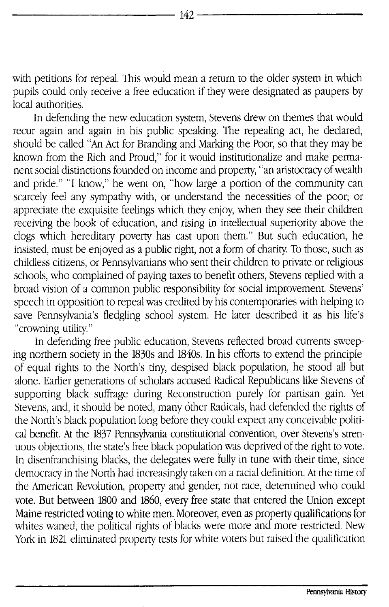with petitions for repeal. This would mean a return to the older system in which pupils could only receive a free education if they were designated as paupers by local authorities.

In defending the new education system, Stevens drew on themes that would recur again and again in his public speaking. The repealing act, he declared, should be called "An Act for Branding and Marking the Poor, so that they may be known from the Rich and Proud," for it would institutionalize and make permanent social distinctions founded on income and property, "an aristocracy of wealth and pride." "I know," he went on, "how large a portion of the community can scarcely feel any sympathy with, or understand the necessities of the poor; or appreciate the exquisite feelings which they enjoy, when they see their children receiving the book of education, and rising in intellectual superiority above the clogs which hereditary poverty has cast upon them." But such education, he insisted, must be enjoyed as a public right, not a form of charity. To those, such as childless citizens, or Pennsylvanians who sent their children to private. or religious schools, who complained of paying taxes to benefit others, Stevens replied with a broad vision of a common public responsibility for social improvement. Stevens' speech in opposition to repeal was credited by his contemporaries with helping to save Pennsylvania's fledgling school system. He later described it as his life's 'crowning utility."

In defending free public education, Stevens reflected broad currents sweeping northern society in the 1830s and 1840s. In his efforts to extend the principle of equal rights to the North's tiny, despised black population, he stood all but alone. Earlier generations of scholars accused Radical Republicans like Stevens of supporting black suffrage during Reconstruction purely for partisan gain. Yet Stevens, and, it should be noted, many 6ther Radicals, had defended the rights of the North's black population long before they could expect any conceivable political benefit. At the 1837 Pennsylvania constitutional convention, over Stevens's strenuous objections, the state's free black population was deprived of the right to vote. In disenfranchising blacks, the delegates were fully in tune with their time, since democracy in the North had increasingly taken on a racial definition. At the time of the American Revolution, property and gender, not race, determined who could vote. But between 1800 and 1860, every free state that entered the Union except Maine restricted voting to white men. Moreover, even as property qualifications for whites waned, the political rights of blacks were more and more restricted. New York in 1821 eliminated property tests for white voters but raised the qualification

- -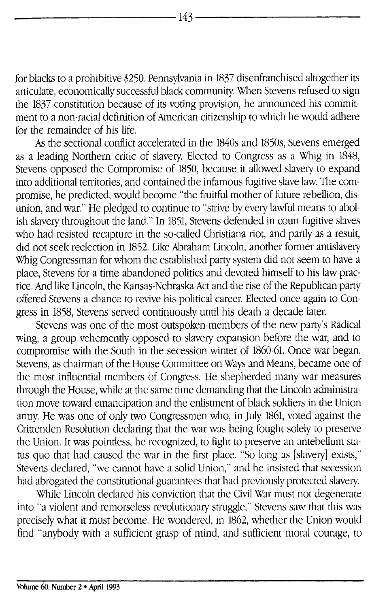for blacks to a prohibitive \$250. Pennsylvania in 1837 disenfranchised altogether its articulate, economically successful black community. When Stevens refused to sign the 1837 constitution because of its voting provision, he announced his commitment to a non-racial definition of American citizenship to which he would adhere for the remainder of his life.

As the sectional conflict accelerated in the 1840s and 1850s, Stevens emerged as a leading Northern critic of slavery. Elected to Congress as a Whig in 1848, Stevens opposed the Compromise of 1850, because it allowed slavery to expand into additional territories, and contained the infamous fugitive slave law. The compromise, he predicted, would become "the fruitful mother of future rebellion, disunion, and war." He pledged to continue to "strive by every lawful means to abolish slavery throughout the land." In 1851, Stevens defended in court fugitive slaves who had resisted recapture in the so-called Christiana riot, and partly as a result, did not seek reelection in 1852. Like Abraham Lincoln, another former antislavery Whig Congressman for whom the established party system did not seem to have a place, Stevens for a time abandoned politics and devoted himself to his law practice. And like Lincoln, the Kansas-Nebraska Act and the rise of the Republican party offered Stevens a chance to revive his political career. Elected once again to Congress in 1858, Stevens served continuously until his death a decade later.

Stevens was one of the most outspoken members of the new party's Radical wing, a group vehemently opposed to slavery expansion before the war, and to compromise with the South in the secession winter of 1860-61. Once war began, Stevens, as chairman of the House Committee on Ways and Means, became one of the most influential members of Congress. He shepherded many war measures through the House, while at the same time demanding that the Lincoln administration move toward emancipation and the enlistment of black soldiers in the Union army. He was one of only two Congressmen who, in July 1861, voted against the Crittenden Resolution declaring that the war was being fought solely to preserve the Union. It was pointless, he recognized, to fight to preserve an antebellum status quo that had caused the war in the first place. "So long as [slavery] exists," Stevens declared, "we cannot have a solid Union," and he insisted that secession had abrogated the constitutional guarantees that had previously protected slavery.

While Lincoln declared his conviction that the Civil War must not degenerate into **"a** violent and remorseless revolutionary struggle," Stevens saw that this was precisely what it must become. He wondered, in 1862, whether the Union would find "anybody with a sufficient grasp of mind, and sufficient moral courage, to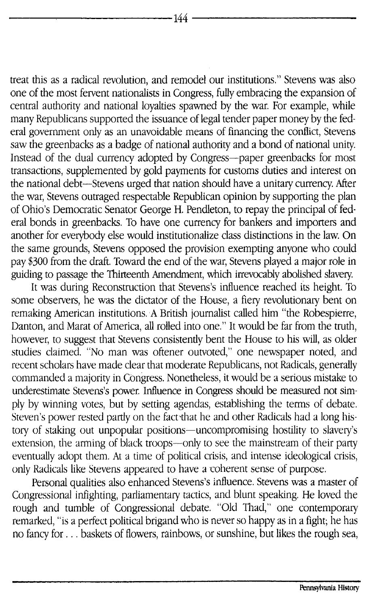treat this as a radical revolution, and remodel our institutions." Stevens was also one of the most fervent nationalists in Congress, fully embracing the expansion of central authority and national loyalties spawned by the war. For example, while many Republicans supported the issuance of legal tender paper money by the federal government only as an unavoidable means of financing the conflict, Stevens saw the greenbacks as a badge of national authority and a bond of national unity. Instead of the dual currency adopted by Congress-paper greenbacks for most transactions, supplemented by gold payments for customs duties and interest on the national debt-Stevens urged that nation should have a unitary currency. After the war, Stevens outraged respectable Republican opinion by supporting the plan of Ohio's Democratic Senator George H. Pendleton, to repay the principal of federal bonds in greenbacks. To have one currency for bankers and importers and another for everybody else would institutionalize class distinctions in the law. On the same grounds, Stevens opposed the provision exempting anyone who could pay \$300 from the draft. Toward the end of the war, Stevens played a major role in guiding to passage the Thirteenth Amendment, which irrevocably abolished slavery.

It was during Reconstruction that Stevens's influence reached its height. To some observers, he was the dictator of the House, a fiery revolutionary bent on remaking American institutions. A British journalist called him "the Robespierre, Danton, and Marat of America, all rolled into one." It would be far from the truth, however, to suggest that Stevens consistently bent the House to his will, as older studies claimed. "No man was oftener outvoted," one newspaper noted, and recent scholars have made clear that moderate Republicans, not Radicals, generally commanded a majority in Congress. Nonetheless, it would be a serious mistake to underestimate Stevens's power. Influence in Congress should be measured not simply by winning votes, but by setting agendas, establishing the terms of debate. Steven's power rested partly on the fact-that he and other Radicals had a long history of staking out unpopular positions-uncompromising hostility to slavery's extension, the arming of black troops-only to see the mainstream of their party eventually adopt them. At a time of political crisis, and intense ideological crisis, only Radicals like Stevens appeared to have a coherent sense of purpose.

Personal qualities also enhanced Stevens's influence. Stevens was a master of Congressional infighting, parliamentary tactics, and blunt speaking. He loved the rough and tumble of Congressional debate. "Old Thad," one contemporary remarked, "is a perfect political brigand who is never so happy as in a fight; he has no fancy for . .. baskets of flowers, rainbows, or sunshine, but likes the rough sea,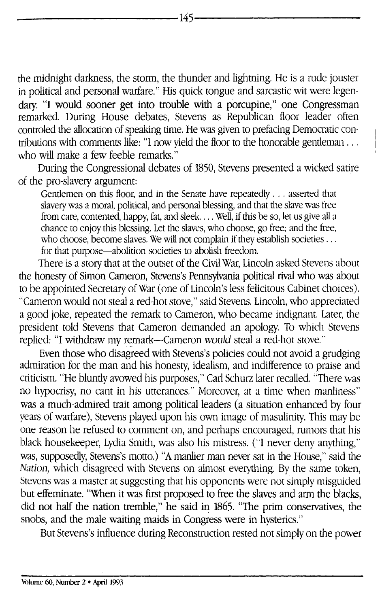the midnight darkness, the storm, the thunder and lightning. He is a rude jouster in political and personal warfare." His quick tongue and sarcastic wit were legendary. **"I** would sooner get into trouble with a porcupine," one Congressman remarked. During House debates, Stevens as Republican floor leader often controled the allocation of speaking time. He was given to prefacing Democratic contributions with comments like: "I now yield the floor to the honorable gentleman ... who will make a few feeble remarks."

During the Congressional debates of 1850, Stevens presented a wicked satire of the pro-slavery argument:

Gentlemen on this floor, and in the Senate have repeatedly ... asserted that slavery was a moral, political, and personal blessing, and that the slave was free from care, contented, happy, fat, and sleek.... Well, if this be so, let us give all a chance to enjoy this blessing. Let the slaves, who choose, go free; and the free, who choose, become slaves. We will not complain if they establish societies ... for that purpose-abolition societies to abolish freedom.

There is a story that at the outset of the Civil War, Lincoln asked Stevens about the honesty of Simon Cameron, Stevens's Pennsylvania political rival who was about to be appointed Secretary of War (one of Lincoln's less felicitous Cabinet choices). "Cameron would not steal a red-hot stove," said Stevens. Lincoln, who appreciated a good joke, repeated the remark to Cameron, who became indignant. Later, the president told Stevens that Cameron demanded an apology. To which Stevens replied: "I withdraw my remark-Cameron would steal a red-hot stove.

Even those who disagreed with Stevens's policies could not avoid a grudging admiration for the man and his honesty, idealism, and indifference to praise and criticism. "He bluntly avowed his purposes," Carl Schurz later recalled. "There was no hypocrisy, no cant in his utterances." Moreover, at a time when manliness" was a much-admired trait among political leaders (a situation enhanced by four years of warfare), Stevens played upon his own image of masulinity. This may be one reason he refused to comment on, and perhaps encouraged, rumors that his black housekeeper, Lydia Smith, was also his mistress. ("I never deny anything," was, supposedly, Stevens's motto.) "A manlier man never sat in the House," said the Nation, which disagreed with Stevens on almost everything. By the same token, Stevens was a master at suggesting that his opponents were not simply misguided but effeminate. "When it was first proposed to free the slaves and arm the blacks, did not half the nation tremble," he said in 1865. "The prim conservatives, the snobs, and the male waiting maids in Congress were in hysterics."

But Stevens's influence during Reconstruction rested not simply on the power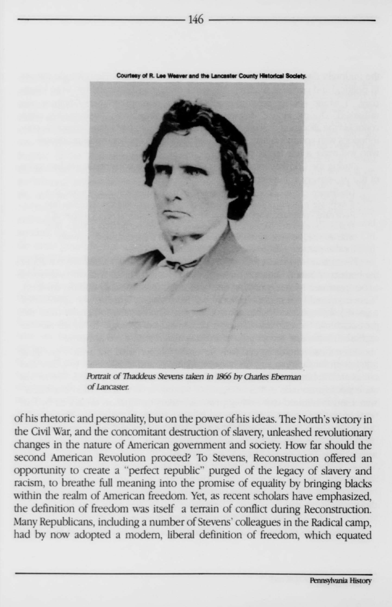

**Lancaster County Historica** 

Portrait of Thaddeus Stevens taken in 1866 by Charles Eberman of Lancaster.

of his rhetoric and personality, but on the power of his ideas. The North's victory in the Civil War, and the concomitant destruction of slavery, unleashed revolutionary changes in the nature of American government and society. How far should the second American Revolution proceed? To Stevens, Reconstruction offered an opportunity to create a "perfect republic" purged of the legacy of slavery and racism, to breathe full meaning into the promise of equality by bringing blacks within the realm of American freedom. Yet, as recent scholars have emphasized, the definition of freedom was itself a terrain of conflict during Reconstruction. Many Republicans, including a number of Stevens' colleagues in the Radical camp, had by now adopted a modern, liberal definition of freedom, which equated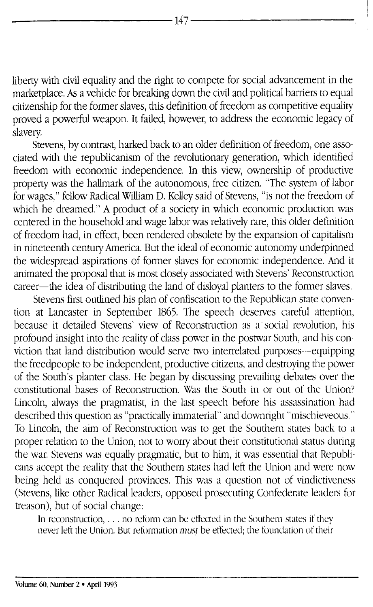liberty with civil equality and the right to compete for social advancement in the marketplace. As a vehicle for breaking down the civil and political barriers to equal citizenship for the former slaves, this definition of freedom as competitive equality proved a powerful weapon. It failed, however, to address the economic legacy of slavery.

Stevens, by contrast, harked back to an older definition of freedom, one associated with the republicanism of the revolutionary generation, which identified freedom with economic independence. In this view, ownership of productive property was the hallmark of the autonomous, free citizen. "The system of labor for wages," fellow Radical William D. Kelley said of Stevens, " is not the freedom of which he dreamed." A product of a society in which economic production was centered in the household and wage labor was relatively rare, this older definition of freedom had, in effect, been rendered obsolete by the expansion of capitalism in nineteenth century America. But the ideal of economic autonomy underpinned the widespread aspirations of former slaves for economic independence. And it animated the proposal that is most closely associated with Stevens' Reconstruction career—the idea of distributing the land of disloyal planters to the former slaves.

Stevens first outlined his plan of confiscation to the Republican state convention at Lancaster in September 1865. The speech deserves careful attention, because it detailed Stevens' view of Reconstruction as a social revolution, his profound insight into the reality of class power in the postwar South, and his conviction that land distribution would serve two interrelated purposes-equipping the freedpeople to be independent, productive citizens, and destroying the power of the South's planter class. He began by discussing prevailing debates over the constitutional bases of Reconstruction. Was the South in or out of the Union? Lincoln, always the pragmatist, in the last speech before his assassination had described this question as "practically immaterial" and downright "mischieveous." To Lincoln, the aim of Reconstruction was to get the Southern states back to a proper relation to the Union, not to worry about their constitutional status during the war. Stevens was equally pragmatic, but to him, it was essential that Republicans accept the reality that the Southern states had left the Union and were now being held as conquered provinces. This was a question not of vindictiveness (Stevens, like other Radical leaders, opposed prosecuting Confederate leaders for treason), but of social change:

In reconstruction,  $\dots$  no reform can be effected in the Southern states if they never left the Union. But reformation *must* be effected; the foundation of their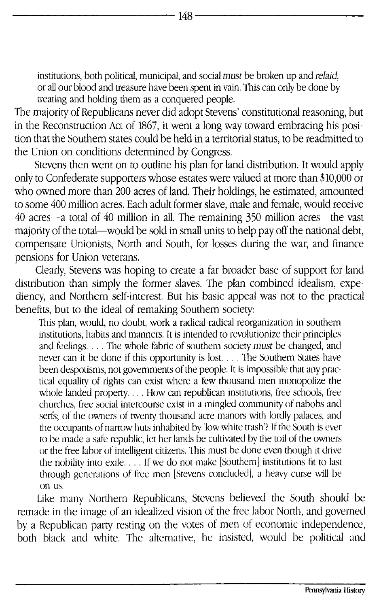institutions, both political, municipal, and social *must* be broken up and *relaid,* or all our blood and treasure have been spent in vain. This can only be done by treating and holding them as a conquered people.

The majority of Republicans never did adopt Stevens' constitutional reasoning, but in the Reconstruction Act of 1867, it went a long way toward embracing his position that the Southern states could be held in a territorial status, to be readmitted to the Union on conditions determined by Congress.

Stevens then went on to outline his plan for land distribution. It would apply only to Confederate supporters whose estates were valued at more than \$10,000 or who owned more than 200 acres of land. Their holdings, he estimated, amounted to some 400 million acres. Each adult former slave, male and female, would receive 40 acres-a total of 40 million in all. The remaining 350 million acres-the vast majority of the total-would be sold in small units to help pay off the national debt, compensate Unionists, North and South, for losses during the war, and finance pensions for Union veterans.

Clearly, Stevens was hoping to create a far broader base of support for land distribution than simply the former slaves. The plan combined idealism, expediency, and Northern self-interest. But his basic appeal was not to the practical benefits, but to the ideal of remaking Southern society:

This plan, would, no doubt, work a radical radical reorganization in southern institutions, habits and manners. It is intended to revolutionize their principles and feelings.... The whole fabric of southern society *must* be changed, and never can it be done if this opportunity is lost.... The Southern States have been despotisms, not governments of the people. It is impossible that any practical equality of rights can exist where a few thousand men monopolize the whole landed property.... How can republican institutions, free schools, free churches, tree social intercourse exist in a mingled community of nabobs and serfs; of the owners of twenty thousand acre manors with lordly palaces, and the occupants of narrow huts inhabited by 'low white trash'? If *the* South is ever to be made a safe republic, let her lands be cultivated by the toil of the owners or the free labor of intelligent citizens. This must be done even though it drive the nobility into exile.... *If* we do not make [Southern] institutions fit to last through generations of free men [Stevens concluded], a heavy curse will be on us.

Like many Northern Republicans, Stevens believed the South should be remade in the image of an idealized vision of the free labor North, and governed by a Republican party resting on the votes of men of economic independence, both black and white. The alternative, he insisted, would be political and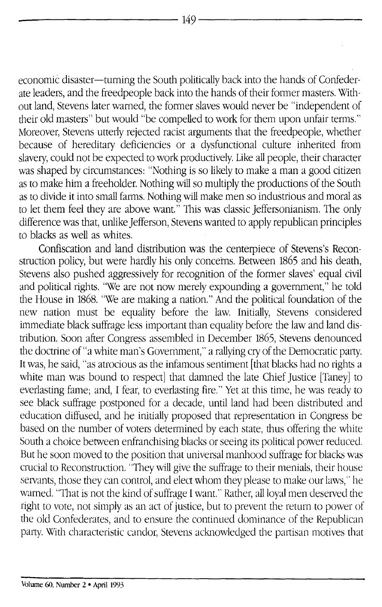economic disaster-turning the South politically back into the hands of Confederate leaders, and the freedpeople back into the hands of their former masters. Without land, Stevens later warned, the former slaves would never be 'independent of their old masters" but would "be compelled to work for them upon unfair terms." Moreover, Stevens utterly rejected racist arguments that the freedpeople, whether because of hereditary deficiencies or a dysfunctional culture inherited from slavery, could not be expected to work productively. Like all people, their character was shaped by circumstances: "Nothing is so likely to make a man a good citizen as to make him a freeholder. Nothing will so multiply the productions of the South as to divide it into small farms. Nothing will make men so industrious and moral as to let them feel they are above want." This was classic Jeffersonianism. The only difference was that, unlike Jefferson, Stevens wanted to apply republican principles to blacks as well as whites.

Confiscation and land distribution was the centerpiece of Stevens's Reconstruction policy, but were hardly his only concerns. Between 1865 and his death, Stevens also pushed aggressively for recognition of the former slaves' equal civil and political rights. "We are not now merely expounding a government," he told the House in 1868. "We are making a nation." And the political foundation of the new nation must be equality before the law. Initially, Stevens considered immediate black suffrage less important than equality before the law and land distribution. Soon after Congress assembled in December 1865, Stevens denounced the doctrine of "a white man's Government," a rallying cry of the Democratic party. It was, he said, "as atrocious as the infamous sentiment [that blacks had no rights a white man was bound to respect] that damned the late Chief Justice [Taney] to everlasting fame; and, I fear, to everlasting fire." Yet at this time, he was ready to see black suffrage postponed for a decade, until land had been distributed and education diffused, and he initially proposed that representation in Congress be based on the number of voters determined by each state, thus offering the white South a choice between enfranchising blacks or seeing its political power reduced. But he soon moved to the position that universal manhood suffrage for blacks was crucial to Reconstruction. They will give the suffrage to their menials, their house servants, those they can control, and elect whom they please to make our laws," he warned. "That is not the kind of suffrage I want." Rather, all loyal men deserved the right to vote, not simply as an act of justice, but to prevent the return to power of the old Confederates, and to ensure the continued dominance of the Republican party With characteristic candor, Stevens acknowledged the partisan motives that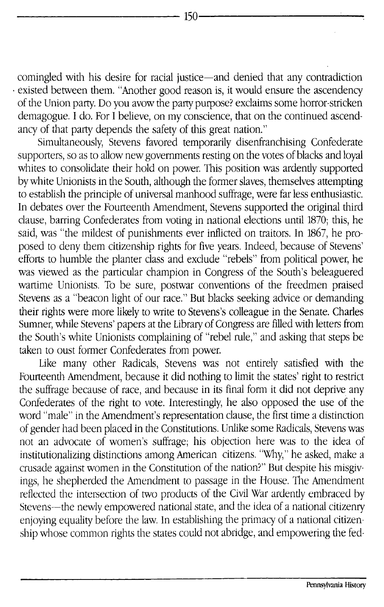comingled with his desire for racial justice-and denied that any contradiction existed between them. "Another good reason is, it would ensure the ascendency of the Union party. Do you avow the party purpose? exclaims some horror-stricken demagogue. I do. For I believe, on my conscience, that on the continued ascendancy of that party depends the safety of this great nation."

Simultaneously, Stevens favored temporarily disenfranchising Confederate supporters, so as to allow new governments resting on the votes of blacks and loyal whites to consolidate their hold on power. This position was ardently supported by white Unionists in the South, although the former slaves, themselves attempting to establish the principle of universal manhood suffrage, were far less enthusiastic. In debates over the Fourteenth Amendment, Stevens supported the original third clause, barring Confederates from voting in national elections until 1870; this, he said, was "the mildest of punishments ever inflicted on traitors. In 1867, he proposed to deny them citizenship rights for five years. Indeed, because of Stevens' efforts to humble the planter class and exclude "rebels" from political power, he was viewed as the particular champion in Congress of the South's beleaguered wartime Unionists. To be sure, postwar conventions of the freedmen praised Stevens as a "beacon light of our race." But blacks seeking advice or demanding their rights were more likely to write to Stevens's colleague in the Senate. Charles Sumner, while Stevens' papers at the Library of Congress are filled with letters from the South's white Unionists complaining of "rebel rule," and asking that steps be taken to oust former Confederates from power.

Like many other Radicals, Stevens was not entirely satisfied with the Fourteenth Amendment, because it did nothing to limit the states' right to restrict the suffrage because of race, and because in its final form it did not deprive any Confederates of the right to vote. Interestingly, he also opposed the use of the word "male" in the Amendment's representation clause, the first time a distinction of gender had been placed in the Constitutions. Unlike some Radicals, Stevens was not an advocate of women's suffrage; his objection here was to the idea of institutionalizing distinctions among American citizens. "Why," he asked, make a crusade against women in the Constitution of the nation?" But despite his misgivings, he shepherded the Amendment to passage in the House. The Amendment reflected the intersection of two products of the Civil War ardently embraced by Stevens-the newly empowered national state, and the idea of a national citizenry enjoying equality before the law. In establishing the primacy of a national citizenship whose common rights the states could not abridge, and empowering the fed-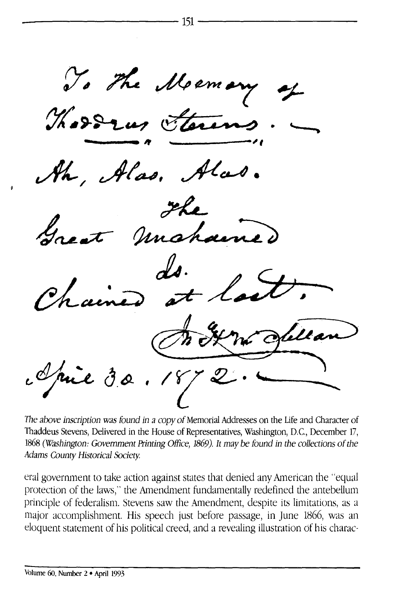To the Memory .<br>as. mahamo. I rue 30.1872

The above inscription was found in a copy of Memorial Addresses on the Life and Character of Thaddeus Stevens, Delivered in the House of Representatives, Washington, D.C., December 17, 1868 (Washington: Government Printing Office, 1869). It may be found in the collections of the Adams County Historical Society.

eral government to take action against states that denied any American the "equal protection of the laws," the Amendment fundamentally redefined the antebellum principle of federalism. Stevens saw the Amendment, despite its limitations, as a major accomplishment. His speech just before passage, in June 1866, was an eloquent statement of his political creed, and a revealing illustration of his charac-